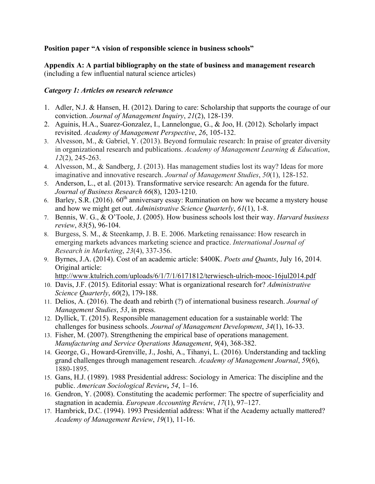## **Position paper "A vision of responsible science in business schools"**

**Appendix A: A partial bibliography on the state of business and management research**  (including a few influential natural science articles)

## *Category 1: Articles on research relevance*

- 1. Adler, N.J. & Hansen, H. (2012). Daring to care: Scholarship that supports the courage of our conviction. *Journal of Management Inquiry*, *21*(2), 128-139.
- 2. Aguinis, H.A., Suarez-Gonzalez, I., Lannelongue, G., & Joo, H. (2012). Scholarly impact revisited. *Academy of Management Perspective*, *26*, 105-132.
- 3. Alvesson, M., & Gabriel, Y. (2013). Beyond formulaic research: In praise of greater diversity in organizational research and publications. *Academy of Management Learning & Education*, *12*(2), 245-263.
- 4. Alvesson, M., & Sandberg, J. (2013). Has management studies lost its way? Ideas for more imaginative and innovative research. *Journal of Management Studies*, *50*(1), 128-152.
- 5. Anderson, L., et al. (2013). Transformative service research: An agenda for the future. *Journal of Business Research 66*(8), 1203-1210.
- 6. Barley, S.R. (2016).  $60^{th}$  anniversary essay: Rumination on how we became a mystery house and how we might get out. *Administrative Science Quarterly*, *61*(1), 1-8.
- 7. Bennis, W. G., & O'Toole, J. (2005). How business schools lost their way. *Harvard business review*, *83*(5), 96-104.
- 8. Burgess, S. M., & Steenkamp, J. B. E. 2006. Marketing renaissance: How research in emerging markets advances marketing science and practice. *International Journal of Research in Marketing*, *23*(4), 337-356.
- 9. Byrnes, J.A. (2014). Cost of an academic article: \$400K. *Poets and Quants*, July 16, 2014. Original article:

http://www.ktulrich.com/uploads/6/1/7/1/6171812/terwiesch-ulrich-mooc-16jul2014.pdf

- 10. Davis, J.F. (2015). Editorial essay: What is organizational research for? *Administrative Science Quarterly*, *60*(2), 179-188.
- 11. Delios, A. (2016). The death and rebirth (?) of international business research. *Journal of Management Studies*, *53*, in press.
- 12. Dyllick, T. (2015). Responsible management education for a sustainable world: The challenges for business schools. *Journal of Management Development*, *34*(1), 16-33.
- 13. Fisher, M. (2007). Strengthening the empirical base of operations management. *Manufacturing and Service Operations Management*, *9*(4), 368-382.
- 14. George, G., Howard-Grenville, J., Joshi, A., Tihanyi, L. (2016). Understanding and tackling grand challenges through management research. *Academy of Management Journal*, *59*(6), 1880-1895.
- 15. Gans, H.J. (1989). 1988 Presidential address: Sociology in America: The discipline and the public. *American Sociological Review, 54*, 1–16.
- 16. Gendron, Y. (2008). Constituting the academic performer: The spectre of superficiality and stagnation in academia. *European Accounting Review*, *17*(1), 97–127.
- 17. Hambrick, D.C. (1994). 1993 Presidential address: What if the Academy actually mattered? *Academy of Management Review*, *19*(1), 11-16.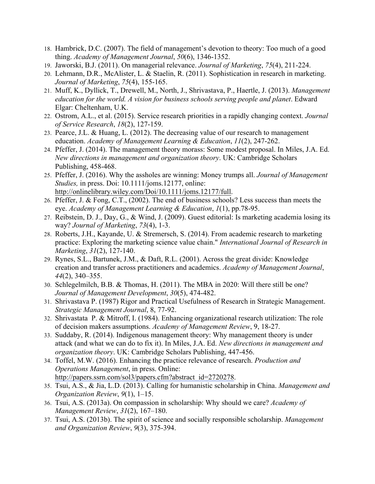- 18. Hambrick, D.C. (2007). The field of management's devotion to theory: Too much of a good thing. *Academy of Management Journal*, *50*(6), 1346-1352.
- 19. Jaworski, B.J. (2011). On managerial relevance. *Journal of Marketing*, *75*(4), 211-224.
- 20. Lehmann, D.R., McAlister, L. & Staelin, R. (2011). Sophistication in research in marketing. *Journal of Marketing*, *75*(4), 155-165.
- 21. Muff, K., Dyllick, T., Drewell, M., North, J., Shrivastava, P., Haertle, J. (2013). *Management education for the world. A vision for business schools serving people and planet*. Edward Elgar: Cheltenham, U.K.
- 22. Ostrom, A.L., et al. (2015). Service research priorities in a rapidly changing context. *Journal of Service Research*, *18*(2), 127-159.
- 23. Pearce, J.L. & Huang, L. (2012). The decreasing value of our research to management education. *Academy of Management Learning & Education*, *11*(2), 247-262.
- 24. Pfeffer, J. (2014). The management theory morass: Some modest proposal. In Miles, J.A. Ed. *New directions in management and organization theory*. UK: Cambridge Scholars Publishing, 458-468.
- 25. Pfeffer, J. (2016). Why the assholes are winning: Money trumps all. *Journal of Management Studies,* in press. Doi: 10.1111/joms.12177, online: http://onlinelibrary.wiley.com/Doi/10.1111/joms.12177/full.
- 26. Pfeffer, J. & Fong, C.T., (2002). The end of business schools? Less success than meets the eye. *Academy of Management Learning & Education*, *1*(1), pp.78-95.
- 27. Reibstein, D. J., Day, G., & Wind, J. (2009). Guest editorial: Is marketing academia losing its way? *Journal of Marketing*, *73*(4), 1-3.
- 28. Roberts, J.H., Kayande, U. & Stremersch, S. (2014). From academic research to marketing practice: Exploring the marketing science value chain." *International Journal of Research in Marketing*, *31*(2), 127-140.
- 29. Rynes, S.L., Bartunek, J.M., & Daft, R.L. (2001). Across the great divide: Knowledge creation and transfer across practitioners and academics. *Academy of Management Journal*, *44*(2), 340–355.
- 30. Schlegelmilch, B.B. & Thomas, H. (2011). The MBA in 2020: Will there still be one? *Journal of Management Development*, *30*(5), 474-482.
- 31. Shrivastava P. (1987) Rigor and Practical Usefulness of Research in Strategic Management. *Strategic Management Journal*, 8, 77-92.
- 32. Shrivastata P. & Mitroff, I. (1984). Enhancing organizational research utilization: The role of decision makers assumptions. *Academy of Management Review*, 9, 18-27.
- 33. Suddaby, R. (2014). Indigenous management theory: Why management theory is under attack (and what we can do to fix it). In Miles, J.A. Ed. *New directions in management and organization theory*. UK: Cambridge Scholars Publishing, 447-456.
- 34. Toffel, M.W. (2016). Enhancing the practice relevance of research. *Production and Operations Management*, in press. Online: http://papers.ssrn.com/sol3/papers.cfm?abstract\_id=2720278.
- 35. Tsui, A.S., & Jia, L.D. (2013). Calling for humanistic scholarship in China. *Management and Organization Review*, *9*(1), 1–15.
- 36. Tsui, A.S. (2013a). On compassion in scholarship: Why should we care? *Academy of Management Review*, *31*(2), 167–180.
- 37. Tsui, A.S. (2013b). The spirit of science and socially responsible scholarship. *Management and Organization Review*, *9*(3), 375-394.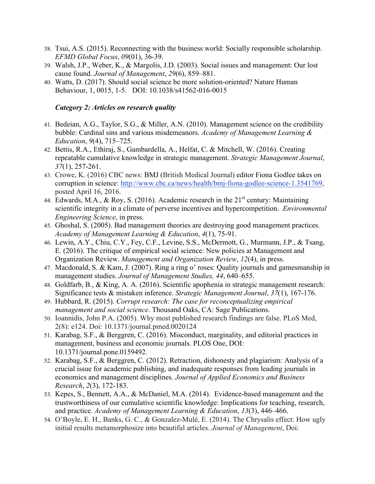- 38. Tsui, A.S. (2015). Reconnecting with the business world: Socially responsible scholarship. *EFMD Global Focus*, *09*(01), 36-39.
- 39. Walsh, J.P., Weber, K., & Margolis, J.D. (2003). Social issues and management: Our lost cause found. *Journal of Management*, *29*(6), 859–881.
- 40. Watts, D. (2017). Should social science be more solution-oriented? Nature Human Behaviour, 1, 0015, 1-5. DOI: 10.1038/s41562-016-0015

## *Category 2: Articles on research quality*

- 41. Bedeian, A.G., Taylor, S.G., & Miller, A.N. (2010). Management science on the credibility bubble: Cardinal sins and various misdemeanors. *Academy of Management Learning & Education*, *9*(4), 715–725.
- 42. Bettis, R.A., Ethiraj, S., Gambardella, A., Helfat, C. & Mitchell, W. (2016). Creating repeatable cumulative knowledge in strategic management. *Strategic Management Journal*, *37*(1), 257-261.
- 43. Crowe, K. (2016) CBC news: BMJ (British Medical Journal) editor Fiona Godlee takes on corruption in science: http://www.cbc.ca/news/health/bmj-fiona-godlee-science-1.3541769, posted April 16, 2016.
- 44. Edwards, M.A., & Roy, S. (2016). Academic research in the  $21<sup>st</sup>$  century: Maintaining scientific integrity in a climate of perverse incentives and hypercompetition. *Environmental Engineering Science*, in press.
- 45. Ghoshal, S. (2005). Bad management theories are destroying good management practices. *Academy of Management Learning & Education*, *4*(1), 75-91.
- 46. Lewin, A.Y., Chiu, C.Y., Fey, C.F., Levine, S.S., McDermott, G., Murmann, J.P., & Tsang, E. (2016). The critique of empirical social science: New policies at Management and Organization Review. *Management and Organization Review*, *12*(4), in press.
- 47. Macdonald, S. & Kam, J. (2007). Ring a ring o' roses: Quality journals and gamesmanship in management studies. *Journal of Management Studies, 44*, 640–655.
- 48. Goldfarb, B., & King, A. A. (2016). Scientific apophenia in strategic management research: Significance tests & mistaken inference. *Strategic Management Journal*, *37*(1), 167-176.
- 49. Hubbard, R. (2015). *Corrupt research: The case for reconceptualizing empirical management and social science*. Thousand Oaks, CA: Sage Publications.
- 50. Ioannidis, John P.A. (2005). Why most published research findings are false. PLoS Med, 2(8): e124. Doi: 10.1371/journal.pmed.0020124
- 51. Karabag, S.F., & Berggren, C. (2016). Misconduct, marginality, and editorial practices in management, business and economic journals. PLOS One, DOI: 10.1371/journal.pone.0159492.
- 52. Karabag, S.F., & Berggren, C. (2012). Retraction, dishonesty and plagiarism: Analysis of a crucial issue for academic publishing, and inadequate responses from leading journals in economics and management disciplines. *Journal of Applied Economics and Business Research*, *2*(3), 172-183.
- 53. Kepes, S., Bennett, A.A., & McDaniel, M.A. (2014). Evidence-based management and the trustworthiness of our cumulative scientific knowledge: Implications for teaching, research, and practice. *Academy of Management Learning & Education*, *13*(3), 446–466.
- 54. O'Boyle, E. H., Banks, G. C., & Gonzalez-Mulé, E. (2014). The Chrysalis effect: How ugly initial results metamorphosize into beautiful articles. *Journal of Management*, Doi: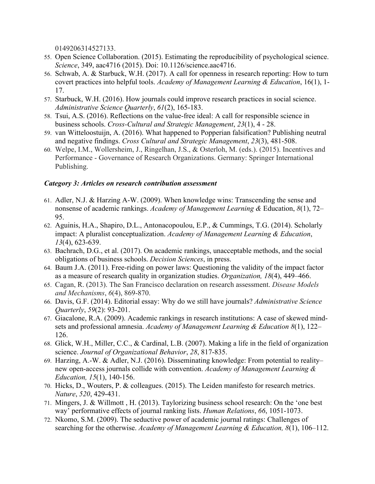0149206314527133.

- 55. Open Science Collaboration. (2015). Estimating the reproducibility of psychological science. *Science*, 349, aac4716 (2015). Doi: 10.1126/science.aac4716.
- 56. Schwab, A. & Starbuck, W.H. (2017). A call for openness in research reporting: How to turn covert practices into helpful tools. *Academy of Management Learning & Education*, 16(1), 1- 17.
- 57. Starbuck, W.H. (2016). How journals could improve research practices in social science. *Administrative Science Quarterly*, *61*(2), 165-183.
- 58. Tsui, A.S. (2016). Reflections on the value-free ideal: A call for responsible science in business schools. *Cross-Cultural and Strategic Management*, *23*(1), 4 - 28.
- 59. van Witteloostuijn, A. (2016). What happened to Popperian falsification? Publishing neutral and negative findings. *Cross Cultural and Strategic Management*, *23*(3), 481-508.
- 60. Welpe, I.M., Wollersheim, J., Ringelhan, J.S., & Osterloh, M. (eds.). (2015). Incentives and Performance - Governance of Research Organizations. Germany: Springer International Publishing.

## *Category 3: Articles on research contribution assessment*

- 61. Adler, N.J. & Harzing A-W. (2009). When knowledge wins: Transcending the sense and nonsense of academic rankings. *Academy of Management Learning &* Education, *8*(1), 72– 95.
- 62. Aguinis, H.A., Shapiro, D.L., Antonacopoulou, E.P., & Cummings, T.G. (2014). Scholarly impact: A pluralist conceptualization. *Academy of Management Learning & Education*, *13*(4), 623-639.
- 63. Bachrach, D.G., et al. (2017). On academic rankings, unacceptable methods, and the social obligations of business schools. *Decision Sciences*, in press.
- 64. Baum J.A. (2011). Free-riding on power laws: Questioning the validity of the impact factor as a measure of research quality in organization studies. *Organization, 18*(4), 449–466.
- 65. Cagan, R. (2013). The San Francisco declaration on research assessment. *Disease Models and Mechanisms*, *6*(4), 869-870.
- 66. Davis, G.F. (2014). Editorial essay: Why do we still have journals? *Administrative Science Quarterly*, *59*(2): 93-201.
- 67. Giacalone, R.A. (2009). Academic rankings in research institutions: A case of skewed mindsets and professional amnesia. *Academy of Management Learning & Education 8*(1), 122– 126.
- 68. Glick, W.H., Miller, C.C., & Cardinal, L.B. (2007). Making a life in the field of organization science. *Journal of Organizational Behavior*, *28*, 817-835.
- 69. Harzing, A.-W. & Adler, N.J. (2016). Disseminating knowledge: From potential to reality– new open-access journals collide with convention. *Academy of Management Learning & Education, 15*(1), 140-156.
- 70. Hicks, D., Wouters, P. & colleagues. (2015). The Leiden manifesto for research metrics. *Nature*, *520*, 429-431.
- 71. Mingers, J. & Willmott , H. (2013). Taylorizing business school research: On the 'one best way' performative effects of journal ranking lists. *Human Relations*, *66*, 1051-1073.
- 72. Nkomo, S.M. (2009). The seductive power of academic journal ratings: Challenges of searching for the otherwise. *Academy of Management Learning & Education, 8*(1), 106–112.